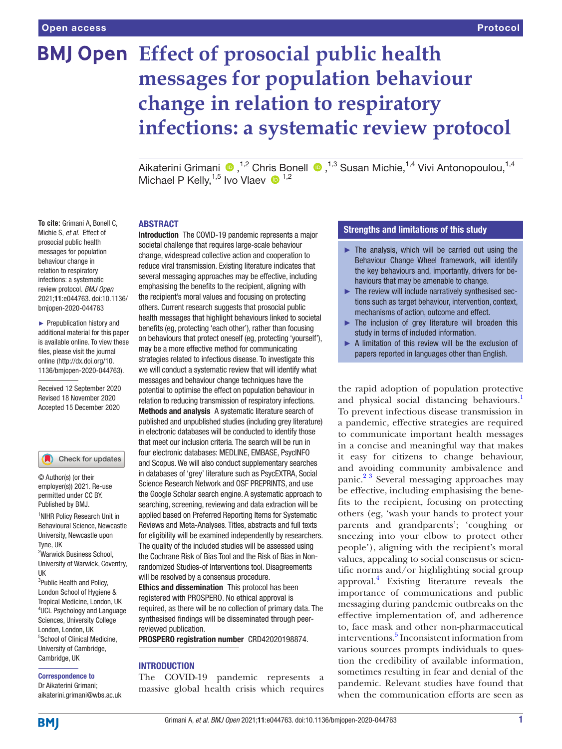**To cite:** Grimani A, Bonell C,

behaviour change in

# **BMJ Open** Effect of prosocial public health **messages for population behaviour change in relation to respiratory infections: a systematic review protocol**

Aikaterini Grimani <sup>®</sup>,<sup>1,2</sup> Chris Bonell <sup>®</sup>,<sup>1,3</sup> Susan Michie,<sup>1,4</sup> Vivi Antonopoulou,<sup>1,4</sup> Michael P Kelly,  $1,5$  Ivo Vlaev  $\bullet$   $1,2$ 

#### ABSTRACT

Michie S, *et al*. Effect of Introduction The COVID-19 pandemic represents a major prosocial public health societal challenge that requires large-scale behaviour messages for population change, widespread collective action and cooperation to reduce viral transmission. Existing literature indicates that relation to respiratory several messaging approaches may be effective, including infections: a systematic emphasising the benefits to the recipient, aligning with review protocol. *BMJ Open* the recipient's moral values and focusing on protecting 2021;11:e044763. doi:10.1136/ others. Current research suggests that prosocial public bmjopen-2020-044763 health messages that highlight behaviours linked to societal ► Prepublication history and benefits (eg, protecting 'each other'), rather than focusing additional material for this paper on behaviours that protect oneself (eg, protecting 'yourself'), is available online. To view these may be a more effective method for communicating files, please visit the journal strategies related to infectious disease. To investigate this online (http://dx.doi.org/10. we will conduct a systematic review that will identify what 1136/bmjopen-2020-044763). messages and behaviour change techniques have the Received 12 September 2020 potential to optimise the effect on population behaviour in Revised 18 November 2020 relation to reducing transmission of respiratory infections. Accepted 15 December 2020 Methods and analysis A systematic literature search of published and unpublished studies (including grey literature) in electronic databases will be conducted to identify those that meet our inclusion criteria. The search will be run in four electronic databases: MEDLINE, EMBASE, PsycINFO Check for updates and Scopus. We will also conduct supplementary searches in databases of 'grey' literature such as PsycEXTRA, Social Science Research Network and OSF PREPRINTS, and use employer(s)) 2021. Re-use the Google Scholar search engine. A systematic approach to permitted under CC BY. searching, screening, reviewing and data extraction will be applied based on Preferred Reporting Items for Systematic <sup>1</sup>NIHR Policy Research Unit in

Reviews and Meta-Analyses. Titles, abstracts and full texts for eligibility will be examined independently by researchers. The quality of the included studies will be assessed using the Cochrane Risk of Bias Tool and the Risk of Bias in Nonrandomized Studies-of Interventions tool. Disagreements will be resolved by a consensus procedure.

Ethics and dissemination This protocol has been registered with PROSPERO. No ethical approval is required, as there will be no collection of primary data. The synthesised findings will be disseminated through peerreviewed publication.

PROSPERO registration number CRD42020198874.

#### INTRODUCTION

The COVID-19 pandemic represents a massive global health crisis which requires

# Strengths and limitations of this study

- $\blacktriangleright$  The analysis, which will be carried out using the Behaviour Change Wheel framework, will identify the key behaviours and, importantly, drivers for behaviours that may be amenable to change.
- ► The review will include narratively synthesised sections such as target behaviour, intervention, context, mechanisms of action, outcome and effect.
- ► The inclusion of grey literature will broaden this study in terms of included information.
- ► A limitation of this review will be the exclusion of papers reported in languages other than English.

the rapid adoption of population protective and physical social distancing behaviours.<sup>1</sup> To prevent infectious disease transmission in a pandemic, effective strategies are required to communicate important health messages in a concise and meaningful way that makes it easy for citizens to change behaviour, and avoiding community ambivalence and panic.[2 3](#page-5-1) Several messaging approaches may be effective, including emphasising the benefits to the recipient, focusing on protecting others (eg, 'wash your hands to protect your parents and grandparents'; 'coughing or sneezing into your elbow to protect other people'), aligning with the recipient's moral values, appealing to social consensus or scientific norms and/or highlighting social group approval.[4](#page-5-2) Existing literature reveals the importance of communications and public messaging during pandemic outbreaks on the effective implementation of, and adherence to, face mask and other non-pharmaceutical interventions.<sup>[5](#page-5-3)</sup> Inconsistent information from various sources prompts individuals to question the credibility of available information, sometimes resulting in fear and denial of the pandemic. Relevant studies have found that when the communication efforts are seen as

aikaterini.grimani@wbs.ac.uk

**BMI** 

Correspondence to Dr Aikaterini Grimani;

Behavioural Science, Newcastle University, Newcastle upon

© Author(s) (or their

Published by BMJ.

<sup>2</sup>Warwick Business School, University of Warwick, Coventry,

<sup>3</sup>Public Health and Policy, London School of Hygiene & Tropical Medicine, London, UK 4 UCL Psychology and Language Sciences, University College London, London, UK 5 School of Clinical Medicine, University of Cambridge, Cambridge, UK

Tyne, UK

UK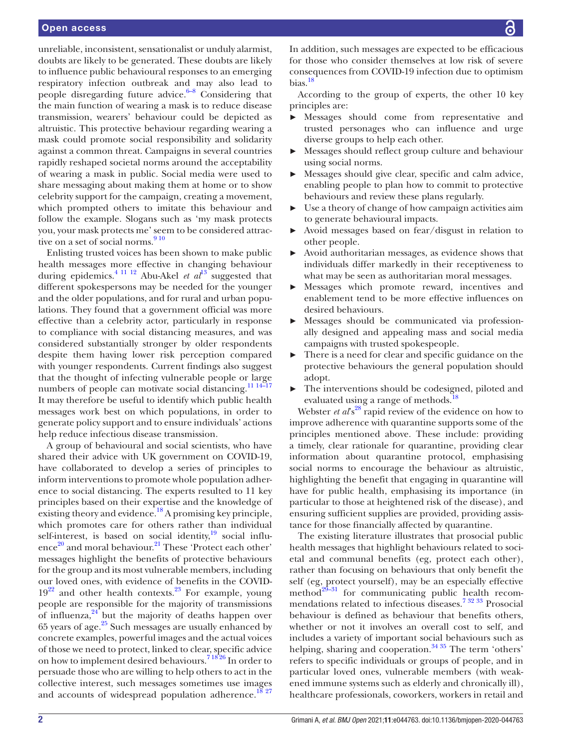unreliable, inconsistent, sensationalist or unduly alarmist, doubts are likely to be generated. These doubts are likely to influence public behavioural responses to an emerging respiratory infection outbreak and may also lead to people disregarding future advice. $6-8$  Considering that the main function of wearing a mask is to reduce disease transmission, wearers' behaviour could be depicted as altruistic. This protective behaviour regarding wearing a mask could promote social responsibility and solidarity against a common threat. Campaigns in several countries rapidly reshaped societal norms around the acceptability of wearing a mask in public. Social media were used to share messaging about making them at home or to show celebrity support for the campaign, creating a movement, which prompted others to imitate this behaviour and follow the example. Slogans such as 'my mask protects you, your mask protects me' seem to be considered attrac-tive on a set of social norms.<sup>[9 10](#page-5-5)</sup>

Enlisting trusted voices has been shown to make public health messages more effective in changing behaviour during epidemics.<sup>4 11 12</sup> Abu-Akel *et al*<sup>[13](#page-5-6)</sup> suggested that different spokespersons may be needed for the younger and the older populations, and for rural and urban populations. They found that a government official was more effective than a celebrity actor, particularly in response to compliance with social distancing measures, and was considered substantially stronger by older respondents despite them having lower risk perception compared with younger respondents. Current findings also suggest that the thought of infecting vulnerable people or large numbers of people can motivate social distancing.<sup>11 14–17</sup> It may therefore be useful to identify which public health messages work best on which populations, in order to generate policy support and to ensure individuals' actions help reduce infectious disease transmission.

A group of behavioural and social scientists, who have shared their advice with UK government on COVID-19, have collaborated to develop a series of principles to inform interventions to promote whole population adherence to social distancing. The experts resulted to 11 key principles based on their expertise and the knowledge of existing theory and evidence.<sup>18</sup> A promising key principle, which promotes care for others rather than individual self-interest, is based on social identity, $19$  social influ-ence<sup>20</sup> and moral behaviour.<sup>[21](#page-5-11)</sup> These 'Protect each other' messages highlight the benefits of protective behaviours for the group and its most vulnerable members, including our loved ones, with evidence of benefits in the COVID- $19^{22}$  and other health contexts.<sup>23</sup> For example, young people are responsible for the majority of transmissions of influenza, $24$  but the majority of deaths happen over 65 years of age. $^{25}$  Such messages are usually enhanced by concrete examples, powerful images and the actual voices of those we need to protect, linked to clear, specific advice on how to implement desired behaviours.<sup>71826</sup> In order to persuade those who are willing to help others to act in the collective interest, such messages sometimes use images and accounts of widespread population adherence.<sup>[18 27](#page-5-8)</sup>

In addition, such messages are expected to be efficacious for those who consider themselves at low risk of severe consequences from COVID-19 infection due to optimism bias[.18](#page-5-8)

According to the group of experts, the other 10 key principles are:

- Messages should come from representative and trusted personages who can influence and urge diverse groups to help each other.
- ► Messages should reflect group culture and behaviour using social norms.
- Messages should give clear, specific and calm advice, enabling people to plan how to commit to protective behaviours and review these plans regularly.
- ► Use a theory of change of how campaign activities aim to generate behavioural impacts.
- ► Avoid messages based on fear/disgust in relation to other people.
- ► Avoid authoritarian messages, as evidence shows that individuals differ markedly in their receptiveness to what may be seen as authoritarian moral messages.
- ► Messages which promote reward, incentives and enablement tend to be more effective influences on desired behaviours.
- ► Messages should be communicated via professionally designed and appealing mass and social media campaigns with trusted spokespeople.
- ► There is a need for clear and specific guidance on the protective behaviours the general population should adopt.
- ► The interventions should be codesigned, piloted and evaluated using a range of methods.<sup>18</sup>

Webster *et al*<sup>88</sup> rapid review of the evidence on how to improve adherence with quarantine supports some of the principles mentioned above. These include: providing a timely, clear rationale for quarantine, providing clear information about quarantine protocol, emphasising social norms to encourage the behaviour as altruistic, highlighting the benefit that engaging in quarantine will have for public health, emphasising its importance (in particular to those at heightened risk of the disease), and ensuring sufficient supplies are provided, providing assistance for those financially affected by quarantine.

The existing literature illustrates that prosocial public health messages that highlight behaviours related to societal and communal benefits (eg, protect each other), rather than focusing on behaviours that only benefit the self (eg, protect yourself), may be an especially effective method<sup>29–31</sup> for communicating public health recommendations related to infectious diseases[.7 32 33](#page-5-16) Prosocial behaviour is defined as behaviour that benefits others, whether or not it involves an overall cost to self, and includes a variety of important social behaviours such as helping, sharing and cooperation.<sup>34 35</sup> The term 'others' refers to specific individuals or groups of people, and in particular loved ones, vulnerable members (with weakened immune systems such as elderly and chronically ill), healthcare professionals, coworkers, workers in retail and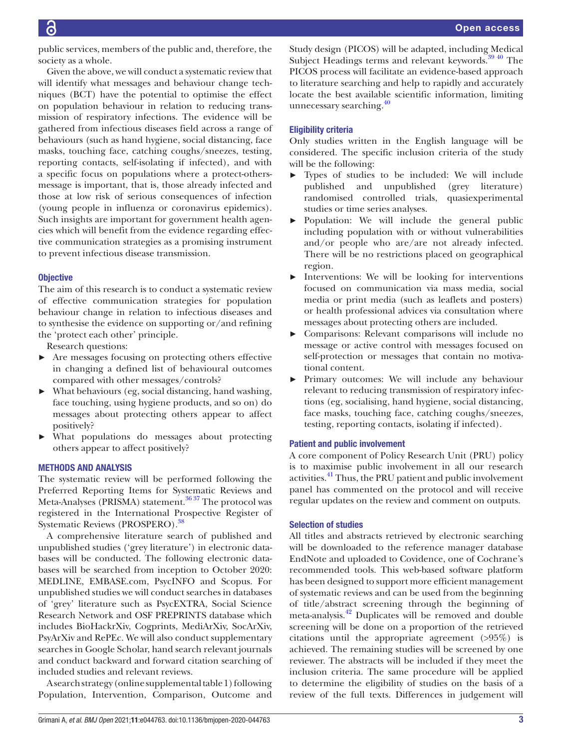public services, members of the public and, therefore, the society as a whole.

Given the above, we will conduct a systematic review that will identify what messages and behaviour change techniques (BCT) have the potential to optimise the effect on population behaviour in relation to reducing transmission of respiratory infections. The evidence will be gathered from infectious diseases field across a range of behaviours (such as hand hygiene, social distancing, face masks, touching face, catching coughs/sneezes, testing, reporting contacts, self-isolating if infected), and with a specific focus on populations where a protect-othersmessage is important, that is, those already infected and those at low risk of serious consequences of infection (young people in influenza or coronavirus epidemics). Such insights are important for government health agencies which will benefit from the evidence regarding effective communication strategies as a promising instrument to prevent infectious disease transmission.

#### **Objective**

The aim of this research is to conduct a systematic review of effective communication strategies for population behaviour change in relation to infectious diseases and to synthesise the evidence on supporting or/and refining the 'protect each other' principle.

Research questions:

- ► Are messages focusing on protecting others effective in changing a defined list of behavioural outcomes compared with other messages/controls?
- ► What behaviours (eg, social distancing, hand washing, face touching, using hygiene products, and so on) do messages about protecting others appear to affect positively?
- ► What populations do messages about protecting others appear to affect positively?

# METHODS AND ANALYSIS

The systematic review will be performed following the Preferred Reporting Items for Systematic Reviews and Meta-Analyses (PRISMA) statement.<sup>36 37</sup> The protocol was registered in the International Prospective Register of Systematic Reviews (PROSPERO)[.38](#page-5-21)

A comprehensive literature search of published and unpublished studies ('grey literature') in electronic databases will be conducted. The following electronic databases will be searched from inception to October 2020: MEDLINE, EMBASE.com, PsycINFO and Scopus. For unpublished studies we will conduct searches in databases of 'grey' literature such as PsycEXTRA, Social Science Research Network and OSF PREPRINTS database which includes BioHackrXiv, Cogprints, MediArXiv, SocArXiv, PsyArXiv and RePEc. We will also conduct supplementary searches in Google Scholar, hand search relevant journals and conduct backward and forward citation searching of included studies and relevant reviews.

A search strategy [\(online supplemental table 1](https://dx.doi.org/10.1136/bmjopen-2020-044763)) following Population, Intervention, Comparison, Outcome and Study design (PICOS) will be adapted, including Medical Subject Headings terms and relevant keywords.<sup>39 40</sup> The PICOS process will facilitate an evidence-based approach to literature searching and help to rapidly and accurately locate the best available scientific information, limiting unnecessary searching.<sup>[40](#page-5-23)</sup>

# Eligibility criteria

Only studies written in the English language will be considered. The specific inclusion criteria of the study will be the following:

- ► Types of studies to be included: We will include published and unpublished (grey literature) randomised controlled trials, quasiexperimental studies or time series analyses.
- ► Population: We will include the general public including population with or without vulnerabilities and/or people who are/are not already infected. There will be no restrictions placed on geographical region.
- ► Interventions: We will be looking for interventions focused on communication via mass media, social media or print media (such as leaflets and posters) or health professional advices via consultation where messages about protecting others are included.
- ► Comparisons: Relevant comparisons will include no message or active control with messages focused on self-protection or messages that contain no motivational content.
- Primary outcomes: We will include any behaviour relevant to reducing transmission of respiratory infections (eg, socialising, hand hygiene, social distancing, face masks, touching face, catching coughs/sneezes, testing, reporting contacts, isolating if infected).

# Patient and public involvement

A core component of Policy Research Unit (PRU) policy is to maximise public involvement in all our research activities[.41](#page-5-24) Thus, the PRU patient and public involvement panel has commented on the protocol and will receive regular updates on the review and comment on outputs.

#### Selection of studies

All titles and abstracts retrieved by electronic searching will be downloaded to the reference manager database EndNote and uploaded to Covidence, one of Cochrane's recommended tools. This web-based software platform has been designed to support more efficient management of systematic reviews and can be used from the beginning of title/abstract screening through the beginning of meta-analysis.<sup>42</sup> Duplicates will be removed and double screening will be done on a proportion of the retrieved citations until the appropriate agreement (>95%) is achieved. The remaining studies will be screened by one reviewer. The abstracts will be included if they meet the inclusion criteria. The same procedure will be applied to determine the eligibility of studies on the basis of a review of the full texts. Differences in judgement will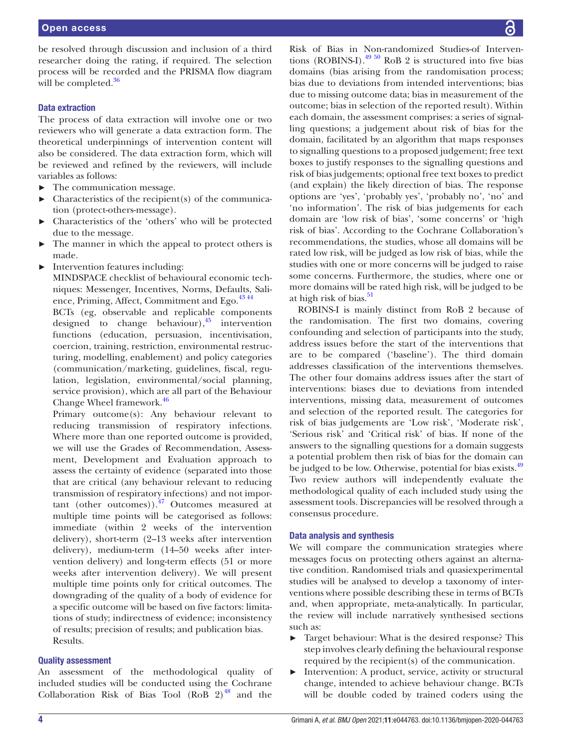# Data extraction

The process of data extraction will involve one or two reviewers who will generate a data extraction form. The theoretical underpinnings of intervention content will also be considered. The data extraction form, which will be reviewed and refined by the reviewers, will include variables as follows:

- ► The communication message.
- $\blacktriangleright$  Characteristics of the recipient(s) of the communication (protect-others-message).
- ► Characteristics of the 'others' who will be protected due to the message.
- The manner in which the appeal to protect others is made.
- Intervention features including:

MINDSPACE checklist of behavioural economic techniques: Messenger, Incentives, Norms, Defaults, Salience, Priming, Affect, Commitment and Ego.<sup>4344</sup>

BCTs (eg, observable and replicable components designed to change behaviour), $45$  intervention functions (education, persuasion, incentivisation, coercion, training, restriction, environmental restructuring, modelling, enablement) and policy categories (communication/marketing, guidelines, fiscal, regulation, legislation, environmental/social planning, service provision), which are all part of the Behaviour Change Wheel framework.<sup>[46](#page-5-28)</sup>

Primary outcome(s): Any behaviour relevant to reducing transmission of respiratory infections. Where more than one reported outcome is provided, we will use the Grades of Recommendation, Assessment, Development and Evaluation approach to assess the certainty of evidence (separated into those that are critical (any behaviour relevant to reducing transmission of respiratory infections) and not important (other outcomes)). $^{47}$  Outcomes measured at multiple time points will be categorised as follows: immediate (within 2 weeks of the intervention delivery), short-term (2–13 weeks after intervention delivery), medium-term (14–50 weeks after intervention delivery) and long-term effects (51 or more weeks after intervention delivery). We will present multiple time points only for critical outcomes. The downgrading of the quality of a body of evidence for a specific outcome will be based on five factors: limitations of study; indirectness of evidence; inconsistency of results; precision of results; and publication bias. Results.

# Quality assessment

An assessment of the methodological quality of included studies will be conducted using the Cochrane Collaboration Risk of Bias Tool (RoB  $2)^{48}$  $2)^{48}$  $2)^{48}$  and the

Risk of Bias in Non-randomized Studies-of Interventions (ROBINS-I). $^{49\,50}$  RoB 2 is structured into five bias domains (bias arising from the randomisation process; bias due to deviations from intended interventions; bias due to missing outcome data; bias in measurement of the outcome; bias in selection of the reported result). Within each domain, the assessment comprises: a series of signalling questions; a judgement about risk of bias for the domain, facilitated by an algorithm that maps responses to signalling questions to a proposed judgement; free text boxes to justify responses to the signalling questions and risk of bias judgements; optional free text boxes to predict (and explain) the likely direction of bias. The response options are 'yes', 'probably yes', 'probably no', 'no' and 'no information'. The risk of bias judgements for each domain are 'low risk of bias', 'some concerns' or 'high risk of bias'. According to the Cochrane Collaboration's recommendations, the studies, whose all domains will be rated low risk, will be judged as low risk of bias, while the studies with one or more concerns will be judged to raise some concerns. Furthermore, the studies, where one or more domains will be rated high risk, will be judged to be at high risk of bias.<sup>51</sup>

ROBINS-I is mainly distinct from RoB 2 because of the randomisation. The first two domains, covering confounding and selection of participants into the study, address issues before the start of the interventions that are to be compared ('baseline'). The third domain addresses classification of the interventions themselves. The other four domains address issues after the start of interventions: biases due to deviations from intended interventions, missing data, measurement of outcomes and selection of the reported result. The categories for risk of bias judgements are 'Low risk', 'Moderate risk', 'Serious risk' and 'Critical risk' of bias. If none of the answers to the signalling questions for a domain suggests a potential problem then risk of bias for the domain can be judged to be low. Otherwise, potential for bias exists.<sup>[49](#page-6-0)</sup> Two review authors will independently evaluate the methodological quality of each included study using the assessment tools. Discrepancies will be resolved through a consensus procedure.

# Data analysis and synthesis

We will compare the communication strategies where messages focus on protecting others against an alternative condition. Randomised trials and quasiexperimental studies will be analysed to develop a taxonomy of interventions where possible describing these in terms of BCTs and, when appropriate, meta-analytically. In particular, the review will include narratively synthesised sections such as:

- Target behaviour: What is the desired response? This step involves clearly defining the behavioural response required by the recipient(s) of the communication.
- ► Intervention: A product, service, activity or structural change, intended to achieve behaviour change. BCTs will be double coded by trained coders using the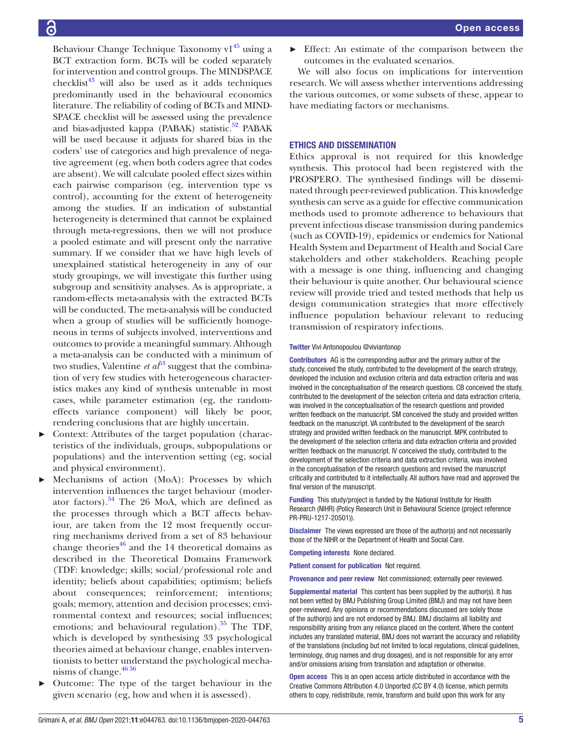Behaviour Change Technique Taxonomy  $v1^{45}$  using a BCT extraction form. BCTs will be coded separately for intervention and control groups. The MINDSPACE checklist<sup>43</sup> will also be used as it adds techniques predominantly used in the behavioural economics literature. The reliability of coding of BCTs and MIND-SPACE checklist will be assessed using the prevalence and bias-adjusted kappa (PABAK) statistic.<sup>52</sup> PABAK will be used because it adjusts for shared bias in the coders' use of categories and high prevalence of negative agreement (eg, when both coders agree that codes are absent). We will calculate pooled effect sizes within each pairwise comparison (eg, intervention type vs control), accounting for the extent of heterogeneity among the studies. If an indication of substantial heterogeneity is determined that cannot be explained through meta-regressions, then we will not produce a pooled estimate and will present only the narrative summary. If we consider that we have high levels of unexplained statistical heterogeneity in any of our study groupings, we will investigate this further using subgroup and sensitivity analyses. As is appropriate, a random-effects meta-analysis with the extracted BCTs will be conducted. The meta-analysis will be conducted when a group of studies will be sufficiently homogeneous in terms of subjects involved, interventions and outcomes to provide a meaningful summary. Although a meta-analysis can be conducted with a minimum of two studies, Valentine *et a* $\bar{b}^3$  suggest that the combination of very few studies with heterogeneous characteristics makes any kind of synthesis untenable in most cases, while parameter estimation (eg, the randomeffects variance component) will likely be poor, rendering conclusions that are highly uncertain.

- Context: Attributes of the target population (characteristics of the individuals, groups, subpopulations or populations) and the intervention setting (eg, social and physical environment).
- Mechanisms of action (MoA): Processes by which intervention influences the target behaviour (moderator factors)[.54](#page-6-4) The 26 MoA, which are defined as the processes through which a BCT affects behaviour, are taken from the 12 most frequently occurring mechanisms derived from a set of 83 behaviour change theories<sup>46</sup> and the 14 theoretical domains as described in the Theoretical Domains Framework (TDF: knowledge; skills; social/professional role and identity; beliefs about capabilities; optimism; beliefs about consequences; reinforcement; intentions; goals; memory, attention and decision processes; environmental context and resources; social influences; emotions; and behavioural regulation). $55$  The TDF, which is developed by synthesising 33 psychological theories aimed at behaviour change, enables interventionists to better understand the psychological mechanisms of change.<sup>4656</sup>
- ► Outcome: The type of the target behaviour in the given scenario (eg, how and when it is assessed).

Effect: An estimate of the comparison between the outcomes in the evaluated scenarios.

We will also focus on implications for intervention research. We will assess whether interventions addressing the various outcomes, or some subsets of these, appear to have mediating factors or mechanisms.

# ETHICS AND DISSEMINATION

Ethics approval is not required for this knowledge synthesis. This protocol had been registered with the PROSPERO. The synthesised findings will be disseminated through peer-reviewed publication. This knowledge synthesis can serve as a guide for effective communication methods used to promote adherence to behaviours that prevent infectious disease transmission during pandemics (such as COVID-19), epidemics or endemics for National Health System and Department of Health and Social Care stakeholders and other stakeholders. Reaching people with a message is one thing, influencing and changing their behaviour is quite another. Our behavioural science review will provide tried and tested methods that help us design communication strategies that more effectively influence population behaviour relevant to reducing transmission of respiratory infections.

#### Twitter Vivi Antonopoulou [@viviantonop](https://twitter.com/viviantonop)

Contributors AG is the corresponding author and the primary author of the study, conceived the study, contributed to the development of the search strategy, developed the inclusion and exclusion criteria and data extraction criteria and was involved in the conceptualisation of the research questions. CB conceived the study, contributed to the development of the selection criteria and data extraction criteria, was involved in the conceptualisation of the research questions and provided written feedback on the manuscript. SM conceived the study and provided written feedback on the manuscript. VA contributed to the development of the search strategy and provided written feedback on the manuscript. MPK contributed to the development of the selection criteria and data extraction criteria and provided written feedback on the manuscript. IV conceived the study, contributed to the development of the selection criteria and data extraction criteria, was involved in the conceptualisation of the research questions and revised the manuscript critically and contributed to it intellectually. All authors have read and approved the final version of the manuscript.

Funding This study/project is funded by the National Institute for Health Research (NIHR) (Policy Research Unit in Behavioural Science (project reference PR-PRU-1217-20501)).

Disclaimer The views expressed are those of the author(s) and not necessarily those of the NIHR or the Department of Health and Social Care.

Competing interests None declared.

Patient consent for publication Not required.

Provenance and peer review Not commissioned; externally peer reviewed.

Supplemental material This content has been supplied by the author(s). It has not been vetted by BMJ Publishing Group Limited (BMJ) and may not have been peer-reviewed. Any opinions or recommendations discussed are solely those of the author(s) and are not endorsed by BMJ. BMJ disclaims all liability and responsibility arising from any reliance placed on the content. Where the content includes any translated material, BMJ does not warrant the accuracy and reliability of the translations (including but not limited to local regulations, clinical guidelines, terminology, drug names and drug dosages), and is not responsible for any error and/or omissions arising from translation and adaptation or otherwise.

Open access This is an open access article distributed in accordance with the Creative Commons Attribution 4.0 Unported (CC BY 4.0) license, which permits others to copy, redistribute, remix, transform and build upon this work for any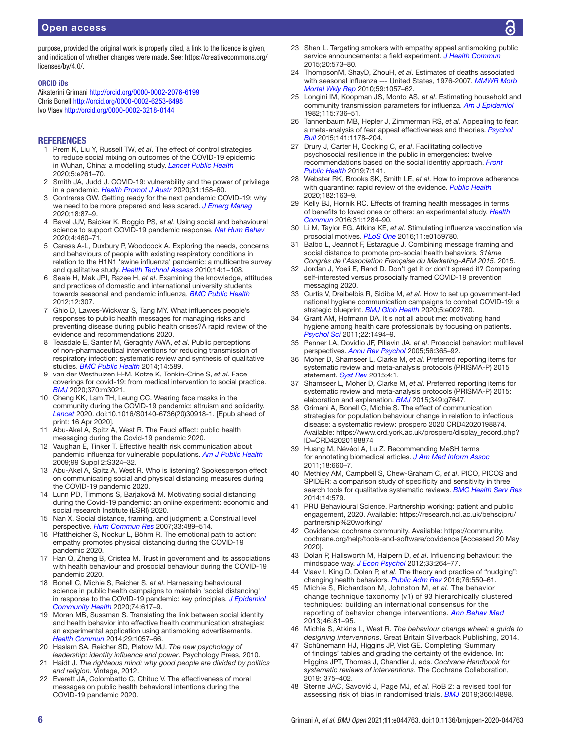# Open access

purpose, provided the original work is properly cited, a link to the licence is given, and indication of whether changes were made. See: [https://creativecommons.org/](https://creativecommons.org/licenses/by/4.0/) [licenses/by/4.0/.](https://creativecommons.org/licenses/by/4.0/)

#### ORCID iDs

Aikaterini Grimani<http://orcid.org/0000-0002-2076-6199> Chris Bonell <http://orcid.org/0000-0002-6253-6498> Ivo Vlaev<http://orcid.org/0000-0002-3218-0144>

#### **REFERENCES**

- <span id="page-5-0"></span>1 Prem K, Liu Y, Russell TW, *et al*. The effect of control strategies to reduce social mixing on outcomes of the COVID-19 epidemic in Wuhan, China: a modelling study. *[Lancet Public Health](http://dx.doi.org/10.1016/S2468-2667(20)30073-6)* 2020;5:e261–70.
- <span id="page-5-1"></span>2 Smith JA, Judd J. COVID-19: vulnerability and the power of privilege in a pandemic. *[Health Promot J Austr](http://dx.doi.org/10.1002/hpja.333)* 2020;31:158–60.
- 3 Contreras GW. Getting ready for the next pandemic COVID-19: why we need to be more prepared and less scared. *[J Emerg Manag](http://dx.doi.org/10.5055/jem.2020.0461)* 2020;18:87–9.
- <span id="page-5-2"></span>4 Bavel JJV, Baicker K, Boggio PS, *et al*. Using social and behavioural science to support COVID-19 pandemic response. *[Nat Hum Behav](http://dx.doi.org/10.1038/s41562-020-0884-z)* 2020;4:460–71.
- <span id="page-5-3"></span>5 Caress A-L, Duxbury P, Woodcock A. Exploring the needs, concerns and behaviours of people with existing respiratory conditions in relation to the H1N1 'swine influenza' pandemic: a multicentre survey and qualitative study. *[Health Technol Assess](http://dx.doi.org/10.3310/hta14340-01)* 2010;14:1–108.
- <span id="page-5-4"></span>6 Seale H, Mak JPI, Razee H, *et al*. Examining the knowledge, attitudes and practices of domestic and international university students towards seasonal and pandemic influenza. *[BMC Public Health](http://dx.doi.org/10.1186/1471-2458-12-307)* 2012;12:307.
- <span id="page-5-16"></span>7 Ghio D, Lawes-Wickwar S, Tang MY. What influences people's responses to public health messages for managing risks and preventing disease during public health crises?A rapid review of the evidence and recommendations 2020.
- 8 Teasdale E, Santer M, Geraghty AWA, *et al*. Public perceptions of non-pharmaceutical interventions for reducing transmission of respiratory infection: systematic review and synthesis of qualitative studies. *[BMC Public Health](http://dx.doi.org/10.1186/1471-2458-14-589)* 2014;14:589.
- <span id="page-5-5"></span>9 van der Westhuizen H-M, Kotze K, Tonkin-Crine S, *et al*. Face coverings for covid-19: from medical intervention to social practice. *[BMJ](http://dx.doi.org/10.1136/bmj.m3021)* 2020;370:m3021.
- 10 Cheng KK, Lam TH, Leung CC. Wearing face masks in the community during the COVID-19 pandemic: altruism and solidarity. *[Lancet](http://dx.doi.org/10.1016/S0140-6736(20)30918-1)* 2020. doi:10.1016/S0140-6736(20)30918-1. [Epub ahead of print: 16 Apr 2020].
- <span id="page-5-7"></span>11 Abu-Akel A, Spitz A, West R. The Fauci effect: public health messaging during the Covid-19 pandemic 2020.
- 12 Vaughan E, Tinker T. Effective health risk communication about pandemic influenza for vulnerable populations. *[Am J Public Health](http://dx.doi.org/10.2105/AJPH.2009.162537)* 2009;99 Suppl 2:S324–32.
- <span id="page-5-6"></span>13 Abu-Akel A, Spitz A, West R. Who is listening? Spokesperson effect on communicating social and physical distancing measures during the COVID-19 pandemic 2020.
- 14 Lunn PD, Timmons S, Barjaková M. Motivating social distancing during the Covid-19 pandemic: an online experiment: economic and social research Institute (ESRI) 2020.
- 15 Nan X. Social distance, framing, and judgment: a Construal level perspective. *[Hum Commun Res](http://dx.doi.org/10.1111/j.1468-2958.2007.00309.x)* 2007;33:489–514.
- 16 Pfattheicher S, Nockur L, Böhm R. The emotional path to action: empathy promotes physical distancing during the COVID-19 pandemic 2020.
- 17 Han Q, Zheng B, Cristea M. Trust in government and its associations with health behaviour and prosocial behaviour during the COVID-19 pandemic 2020.
- <span id="page-5-8"></span>18 Bonell C, Michie S, Reicher S, *et al*. Harnessing behavioural science in public health campaigns to maintain 'social distancing' in response to the COVID-19 pandemic: key principles. *[J Epidemiol](http://dx.doi.org/10.1136/jech-2020-214290)  [Community Health](http://dx.doi.org/10.1136/jech-2020-214290)* 2020;74:617–9.
- <span id="page-5-9"></span>19 Moran MB, Sussman S. Translating the link between social identity and health behavior into effective health communication strategies: an experimental application using antismoking advertisements. *[Health Commun](http://dx.doi.org/10.1080/10410236.2013.832830)* 2014;29:1057–66.
- <span id="page-5-10"></span>20 Haslam SA, Reicher SD, Platow MJ. *The new psychology of leadership: identity influence and power*. Psychology Press, 2010.
- <span id="page-5-11"></span>21 Haidt J. *The righteous mind: why good people are divided by politics and religion*. Vintage, 2012.
- <span id="page-5-12"></span>22 Everett JA, Colombatto C, Chituc V. The effectiveness of moral messages on public health behavioral intentions during the COVID-19 pandemic 2020.
- <span id="page-5-13"></span>23 Shen L. Targeting smokers with empathy appeal antismoking public service announcements: a field experiment. *[J Health Commun](http://dx.doi.org/10.1080/10810730.2015.1012236)* 2015;20:573–80.
- <span id="page-5-14"></span>24 ThompsonM, ShayD, ZhouH, *et al*. Estimates of deaths associated with seasonal influenza --- United States, 1976-2007. *[MMWR Morb](http://www.ncbi.nlm.nih.gov/pubmed/20798667)  [Mortal Wkly Rep](http://www.ncbi.nlm.nih.gov/pubmed/20798667)* 2010;59:1057–62.
- <span id="page-5-15"></span>25 Longini IM, Koopman JS, Monto AS, *et al*. Estimating household and community transmission parameters for influenza. *[Am J Epidemiol](http://dx.doi.org/10.1093/oxfordjournals.aje.a113356)* 1982;115:736–51.
- 26 Tannenbaum MB, Hepler J, Zimmerman RS, *et al*. Appealing to fear: a meta-analysis of fear appeal effectiveness and theories. *[Psychol](http://dx.doi.org/10.1037/a0039729)  [Bull](http://dx.doi.org/10.1037/a0039729)* 2015;141:1178–204.
- 27 Drury J, Carter H, Cocking C, *et al*. Facilitating collective psychosocial resilience in the public in emergencies: twelve recommendations based on the social identity approach. *[Front](http://dx.doi.org/10.3389/fpubh.2019.00141)  [Public Health](http://dx.doi.org/10.3389/fpubh.2019.00141)* 2019;7:141.
- <span id="page-5-17"></span>28 Webster RK, Brooks SK, Smith LE, *et al*. How to improve adherence with quarantine: rapid review of the evidence. *[Public Health](http://dx.doi.org/10.1016/j.puhe.2020.03.007)* 2020;182:163–9.
- <span id="page-5-18"></span>29 Kelly BJ, Hornik RC. Effects of framing health messages in terms of benefits to loved ones or others: an experimental study. *[Health](http://dx.doi.org/10.1080/10410236.2015.1062976)  [Commun](http://dx.doi.org/10.1080/10410236.2015.1062976)* 2016;31:1284–90.
- 30 Li M, Taylor EG, Atkins KE, *et al*. Stimulating influenza vaccination via prosocial motives. *[PLoS One](http://dx.doi.org/10.1371/journal.pone.0159780)* 2016;11:e0159780.
- 31 Balbo L, Jeannot F, Estarague J. Combining message framing and social distance to promote pro-social health behaviors. *31ème Congrès de l'Association Française du Marketing-AFM 2015*, 2015.
- 32 Jordan J, Yoeli E, Rand D. Don't get it or don't spread it? Comparing self-interested versus prosocially framed COVID-19 prevention messaging 2020.
- 33 Curtis V, Dreibelbis R, Sidibe M, *et al*. How to set up government-led national hygiene communication campaigns to combat COVID-19: a strategic blueprint. *[BMJ Glob Health](http://dx.doi.org/10.1136/bmjgh-2020-002780)* 2020;5:e002780.
- <span id="page-5-19"></span>34 Grant AM, Hofmann DA. It's not all about me: motivating hand hygiene among health care professionals by focusing on patients. *[Psychol Sci](http://dx.doi.org/10.1177/0956797611419172)* 2011;22:1494–9.
- 35 Penner LA, Dovidio JF, Piliavin JA, *et al*. Prosocial behavior: multilevel perspectives. *[Annu Rev Psychol](http://dx.doi.org/10.1146/annurev.psych.56.091103.070141)* 2005;56:365–92.
- <span id="page-5-20"></span>36 Moher D, Shamseer L, Clarke M, *et al*. Preferred reporting items for systematic review and meta-analysis protocols (PRISMA-P) 2015 statement. *[Syst Rev](http://dx.doi.org/10.1186/2046-4053-4-1)* 2015;4:1.
- 37 Shamseer L, Moher D, Clarke M, *et al*. Preferred reporting items for systematic review and meta-analysis protocols (PRISMA-P) 2015: elaboration and explanation. *[BMJ](http://dx.doi.org/10.1136/bmj.g7647)* 2015;349:g7647.
- <span id="page-5-21"></span>38 Grimani A, Bonell C, Michie S. The effect of communication strategies for population behaviour change in relation to infectious disease: a systematic review: prospero 2020 CRD42020198874. Available: [https://www.crd.york.ac.uk/prospero/display\\_record.php?](https://www.crd.york.ac.uk/prospero/display_record.php?ID=CRD42020198874) [ID=CRD42020198874](https://www.crd.york.ac.uk/prospero/display_record.php?ID=CRD42020198874)
- <span id="page-5-22"></span>39 Huang M, Névéol A, Lu Z. Recommending MeSH terms for annotating biomedical articles. *[J Am Med Inform Assoc](http://dx.doi.org/10.1136/amiajnl-2010-000055)* 2011;18:660–7.
- <span id="page-5-23"></span>40 Methley AM, Campbell S, Chew-Graham C, *et al*. PICO, PICOS and SPIDER: a comparison study of specificity and sensitivity in three search tools for qualitative systematic reviews. *[BMC Health Serv Res](http://dx.doi.org/10.1186/s12913-014-0579-0)* 2014;14:579.
- <span id="page-5-24"></span>41 PRU Behavioural Science. Partnership working: patient and public engagement, 2020. Available: [https://research.ncl.ac.uk/behscipru/](https://research.ncl.ac.uk/behscipru/partnership%20working/) [partnership%20working/](https://research.ncl.ac.uk/behscipru/partnership%20working/)
- <span id="page-5-25"></span>42 Covidence: cochrane community. Available: [https://community.](https://community.cochrane.org/help/tools-and-software/covidence) [cochrane.org/help/tools-and-software/covidence](https://community.cochrane.org/help/tools-and-software/covidence) [Accessed 20 May 2020].
- <span id="page-5-26"></span>43 Dolan P, Hallsworth M, Halpern D, *et al*. Influencing behaviour: the mindspace way. *[J Econ Psychol](http://dx.doi.org/10.1016/j.joep.2011.10.009)* 2012;33:264–77.
- 44 Vlaev I, King D, Dolan P, *et al*. The theory and practice of "nudging": changing health behaviors. *[Public Adm Rev](http://dx.doi.org/10.1111/puar.12564)* 2016;76:550–61.
- <span id="page-5-27"></span>45 Michie S, Richardson M, Johnston M, *et al*. The behavior change technique taxonomy (v1) of 93 hierarchically clustered techniques: building an international consensus for the reporting of behavior change interventions. *[Ann Behav Med](http://dx.doi.org/10.1007/s12160-013-9486-6)* 2013;46:81–95.
- <span id="page-5-28"></span>46 Michie S, Atkins L, West R. *The behaviour change wheel: a guide to designing interventions*. Great Britain Silverback Publishing, 2014.
- <span id="page-5-29"></span>47 Schünemann HJ, Higgins JP, Vist GE. Completing 'Summary of findings' tables and grading the certainty of the evidence. In: Higgins JPT, Thomas J, Chandler J, eds. *Cochrane Handbook for systematic reviews of interventions*. The Cochrane Collaboration, 2019: 375–402.
- <span id="page-5-30"></span>48 Sterne JAC, Savović J, Page MJ, *et al*. RoB 2: a revised tool for assessing risk of bias in randomised trials. *[BMJ](http://dx.doi.org/10.1136/bmj.l4898)* 2019;366:l4898.